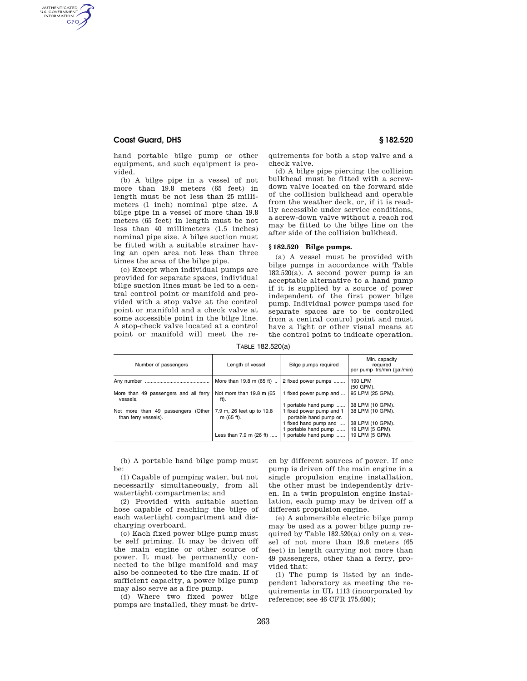## **Coast Guard, DHS § 182.520**

AUTHENTICATED<br>U.S. GOVERNMENT<br>INFORMATION GPO

> hand portable bilge pump or other equipment, and such equipment is provided.

> (b) A bilge pipe in a vessel of not more than 19.8 meters (65 feet) in length must be not less than 25 millimeters (1 inch) nominal pipe size. A bilge pipe in a vessel of more than 19.8 meters (65 feet) in length must be not less than 40 millimeters (1.5 inches) nominal pipe size. A bilge suction must be fitted with a suitable strainer having an open area not less than three times the area of the bilge pipe.

> (c) Except when individual pumps are provided for separate spaces, individual bilge suction lines must be led to a central control point or manifold and provided with a stop valve at the control point or manifold and a check valve at some accessible point in the bilge line. A stop-check valve located at a control point or manifold will meet the re

quirements for both a stop valve and a check valve.

(d) A bilge pipe piercing the collision bulkhead must be fitted with a screwdown valve located on the forward side of the collision bulkhead and operable from the weather deck, or, if it is readily accessible under service conditions, a screw-down valve without a reach rod may be fitted to the bilge line on the after side of the collision bulkhead.

## **§ 182.520 Bilge pumps.**

(a) A vessel must be provided with bilge pumps in accordance with Table 182.520(a). A second power pump is an acceptable alternative to a hand pump if it is supplied by a source of power independent of the first power bilge pump. Individual power pumps used for separate spaces are to be controlled from a central control point and must have a light or other visual means at the control point to indicate operation.

TABLE 182.520(a)

| Number of passengers                                          | Length of vessel                        | Bilge pumps required                               | Min. capacity<br>required<br>per pump ltrs/min (gal/min) |
|---------------------------------------------------------------|-----------------------------------------|----------------------------------------------------|----------------------------------------------------------|
| Any number                                                    | More than 19.8 m (65 ft)                | 2 fixed power pumps                                | 190 LPM<br>(50 GPM).                                     |
| More than 49 passengers and all ferry<br>vessels.             | Not more than 19.8 m (65)<br>ft).       | 1 fixed power pump and                             | 95 LPM (25 GPM).                                         |
|                                                               |                                         | 1 portable hand pump                               | 38 LPM (10 GPM).                                         |
| (Other<br>Not more than 49 passengers<br>than ferry vessels). | 7.9 m, 26 feet up to 19.8<br>m (65 ft). | 1 fixed power pump and 1<br>portable hand pump or. | 38 LPM (10 GPM).                                         |
|                                                               |                                         | 1 fixed hand pump and                              | 38 LPM (10 GPM).                                         |
|                                                               |                                         | 1 portable hand pump                               | 19 LPM (5 GPM).                                          |
|                                                               | Less than 7.9 m (26 ft)                 | 1 portable hand pump                               | 19 LPM (5 GPM).                                          |

(b) A portable hand bilge pump must be:

(1) Capable of pumping water, but not necessarily simultaneously, from all watertight compartments; and

(2) Provided with suitable suction hose capable of reaching the bilge of each watertight compartment and discharging overboard.

(c) Each fixed power bilge pump must be self priming. It may be driven off the main engine or other source of power. It must be permanently connected to the bilge manifold and may also be connected to the fire main. If of sufficient capacity, a power bilge pump may also serve as a fire pump.

(d) Where two fixed power bilge pumps are installed, they must be driven by different sources of power. If one pump is driven off the main engine in a single propulsion engine installation, the other must be independently driven. In a twin propulsion engine installation, each pump may be driven off a different propulsion engine.

(e) A submersible electric bilge pump may be used as a power bilge pump required by Table 182.520(a) only on a vessel of not more than 19.8 meters (65 feet) in length carrying not more than 49 passengers, other than a ferry, provided that:

(1) The pump is listed by an independent laboratory as meeting the requirements in UL 1113 (incorporated by reference; see 46 CFR 175.600);